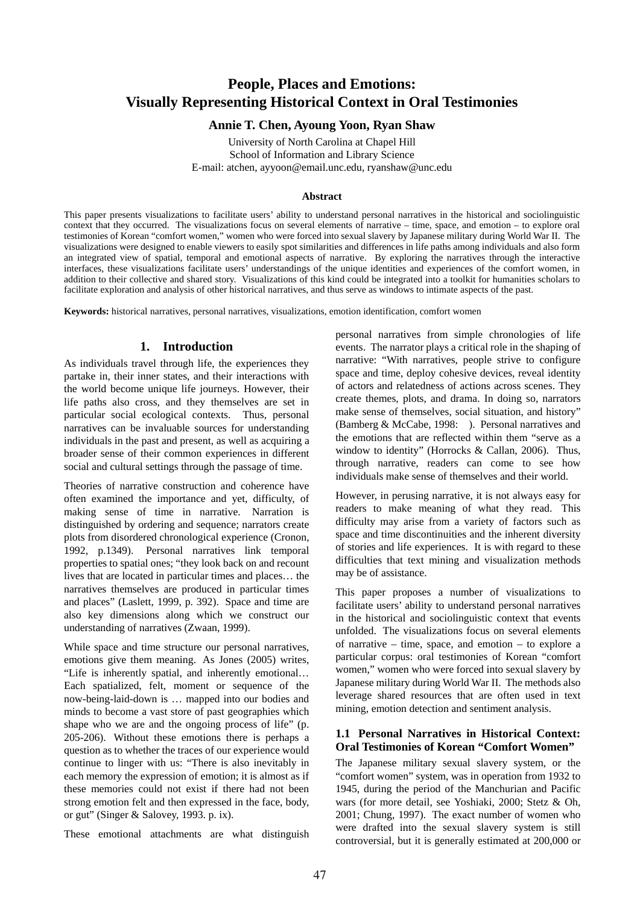# **People, Places and Emotions: Visually Representing Historical Context in Oral Testimonies**

## **Annie T. Chen, Ayoung Yoon, Ryan Shaw**

University of North Carolina at Chapel Hill School of Information and Library Science E-mail: atchen, ayyoon@email.unc.edu, ryanshaw@unc.edu

#### **Abstract**

This paper presents visualizations to facilitate users' ability to understand personal narratives in the historical and sociolinguistic context that they occurred. The visualizations focus on several elements of narrative – time, space, and emotion – to explore oral testimonies of Korean "comfort women," women who were forced into sexual slavery by Japanese military during World War II. The visualizations were designed to enable viewers to easily spot similarities and differences in life paths among individuals and also form an integrated view of spatial, temporal and emotional aspects of narrative. By exploring the narratives through the interactive interfaces, these visualizations facilitate users' understandings of the unique identities and experiences of the comfort women, in addition to their collective and shared story. Visualizations of this kind could be integrated into a toolkit for humanities scholars to facilitate exploration and analysis of other historical narratives, and thus serve as windows to intimate aspects of the past.

**Keywords:** historical narratives, personal narratives, visualizations, emotion identification, comfort women

## **1. Introduction**

As individuals travel through life, the experiences they partake in, their inner states, and their interactions with the world become unique life journeys. However, their life paths also cross, and they themselves are set in particular social ecological contexts. Thus, personal narratives can be invaluable sources for understanding individuals in the past and present, as well as acquiring a broader sense of their common experiences in different social and cultural settings through the passage of time.

Theories of narrative construction and coherence have often examined the importance and yet, difficulty, of making sense of time in narrative. Narration is distinguished by ordering and sequence; narrators create plots from disordered chronological experience (Cronon, 1992, p.1349). Personal narratives link temporal properties to spatial ones; "they look back on and recount lives that are located in particular times and places… the narratives themselves are produced in particular times and places" (Laslett, 1999, p. 392). Space and time are also key dimensions along which we construct our understanding of narratives (Zwaan, 1999).

While space and time structure our personal narratives, emotions give them meaning. As Jones (2005) writes, "Life is inherently spatial, and inherently emotional… Each spatialized, felt, moment or sequence of the now-being-laid-down is … mapped into our bodies and minds to become a vast store of past geographies which shape who we are and the ongoing process of life" (p. 205-206). Without these emotions there is perhaps a question as to whether the traces of our experience would continue to linger with us: "There is also inevitably in each memory the expression of emotion; it is almost as if these memories could not exist if there had not been strong emotion felt and then expressed in the face, body, or gut" (Singer & Salovey, 1993. p. ix).

These emotional attachments are what distinguish

personal narratives from simple chronologies of life events. The narrator plays a critical role in the shaping of narrative: "With narratives, people strive to configure space and time, deploy cohesive devices, reveal identity of actors and relatedness of actions across scenes. They create themes, plots, and drama. In doing so, narrators make sense of themselves, social situation, and history" (Bamberg & McCabe, 1998: ). Personal narratives and the emotions that are reflected within them "serve as a window to identity" (Horrocks & Callan, 2006). Thus, through narrative, readers can come to see how individuals make sense of themselves and their world.

However, in perusing narrative, it is not always easy for readers to make meaning of what they read. This difficulty may arise from a variety of factors such as space and time discontinuities and the inherent diversity of stories and life experiences. It is with regard to these difficulties that text mining and visualization methods may be of assistance.

This paper proposes a number of visualizations to facilitate users' ability to understand personal narratives in the historical and sociolinguistic context that events unfolded. The visualizations focus on several elements of narrative – time, space, and emotion – to explore a particular corpus: oral testimonies of Korean "comfort women," women who were forced into sexual slavery by Japanese military during World War II. The methods also leverage shared resources that are often used in text mining, emotion detection and sentiment analysis.

#### **1.1 Personal Narratives in Historical Context: Oral Testimonies of Korean "Comfort Women"**

The Japanese military sexual slavery system, or the "comfort women" system, was in operation from 1932 to 1945, during the period of the Manchurian and Pacific wars (for more detail, see Yoshiaki, 2000; Stetz & Oh, 2001; Chung, 1997). The exact number of women who were drafted into the sexual slavery system is still controversial, but it is generally estimated at 200,000 or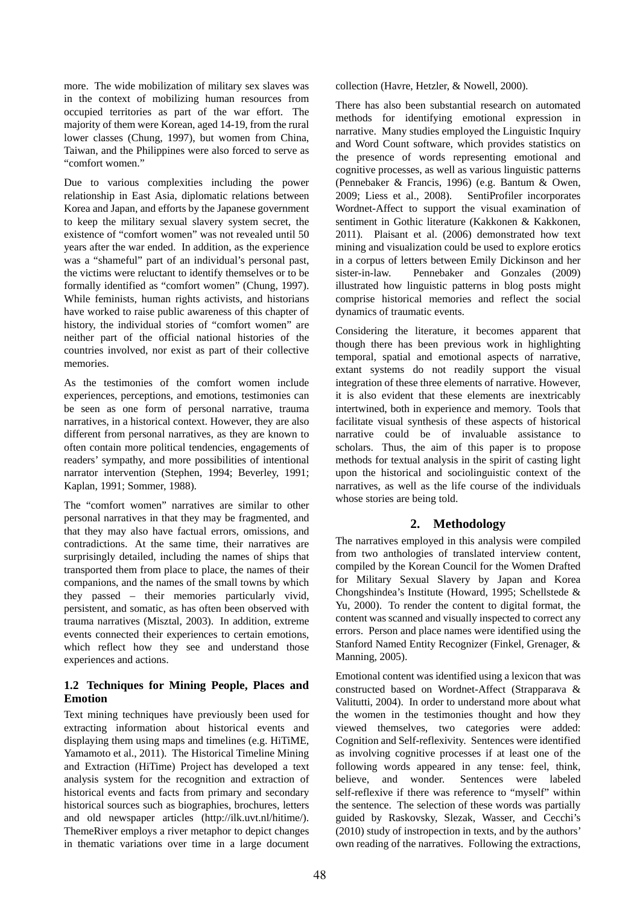more. The wide mobilization of military sex slaves was in the context of mobilizing human resources from occupied territories as part of the war effort. The majority of them were Korean, aged 14-19, from the rural lower classes (Chung, 1997), but women from China, Taiwan, and the Philippines were also forced to serve as "comfort women."

Due to various complexities including the power relationship in East Asia, diplomatic relations between Korea and Japan, and efforts by the Japanese government to keep the military sexual slavery system secret, the existence of "comfort women" was not revealed until 50 years after the war ended. In addition, as the experience was a "shameful" part of an individual's personal past, the victims were reluctant to identify themselves or to be formally identified as "comfort women" (Chung, 1997). While feminists, human rights activists, and historians have worked to raise public awareness of this chapter of history, the individual stories of "comfort women" are neither part of the official national histories of the countries involved, nor exist as part of their collective memories.

As the testimonies of the comfort women include experiences, perceptions, and emotions, testimonies can be seen as one form of personal narrative, trauma narratives, in a historical context. However, they are also different from personal narratives, as they are known to often contain more political tendencies, engagements of readers' sympathy, and more possibilities of intentional narrator intervention (Stephen, 1994; Beverley, 1991; Kaplan, 1991; Sommer, 1988).

The "comfort women" narratives are similar to other personal narratives in that they may be fragmented, and that they may also have factual errors, omissions, and contradictions. At the same time, their narratives are surprisingly detailed, including the names of ships that transported them from place to place, the names of their companions, and the names of the small towns by which they passed – their memories particularly vivid, persistent, and somatic, as has often been observed with trauma narratives (Misztal, 2003). In addition, extreme events connected their experiences to certain emotions, which reflect how they see and understand those experiences and actions.

## **1.2 Techniques for Mining People, Places and Emotion**

Text mining techniques have previously been used for extracting information about historical events and displaying them using maps and timelines (e.g. HiTiME, Yamamoto et al., 2011). The Historical Timeline Mining and Extraction (HiTime) Project has developed a text analysis system for the recognition and extraction of historical events and facts from primary and secondary historical sources such as biographies, brochures, letters and old newspaper articles (http://ilk.uvt.nl/hitime/). ThemeRiver employs a river metaphor to depict changes in thematic variations over time in a large document collection (Havre, Hetzler, & Nowell, 2000).

There has also been substantial research on automated methods for identifying emotional expression in narrative. Many studies employed the Linguistic Inquiry and Word Count software, which provides statistics on the presence of words representing emotional and cognitive processes, as well as various linguistic patterns (Pennebaker & Francis, 1996) (e.g. Bantum & Owen, 2009; Liess et al., 2008). SentiProfiler incorporates Wordnet-Affect to support the visual examination of sentiment in Gothic literature (Kakkonen & Kakkonen, 2011). Plaisant et al. (2006) demonstrated how text mining and visualization could be used to explore erotics in a corpus of letters between Emily Dickinson and her sister-in-law. Pennebaker and Gonzales (2009) illustrated how linguistic patterns in blog posts might comprise historical memories and reflect the social dynamics of traumatic events.

Considering the literature, it becomes apparent that though there has been previous work in highlighting temporal, spatial and emotional aspects of narrative, extant systems do not readily support the visual integration of these three elements of narrative. However, it is also evident that these elements are inextricably intertwined, both in experience and memory. Tools that facilitate visual synthesis of these aspects of historical narrative could be of invaluable assistance to scholars. Thus, the aim of this paper is to propose methods for textual analysis in the spirit of casting light upon the historical and sociolinguistic context of the narratives, as well as the life course of the individuals whose stories are being told.

## **2. Methodology**

The narratives employed in this analysis were compiled from two anthologies of translated interview content, compiled by the Korean Council for the Women Drafted for Military Sexual Slavery by Japan and Korea Chongshindea's Institute (Howard, 1995; Schellstede & Yu, 2000). To render the content to digital format, the content was scanned and visually inspected to correct any errors. Person and place names were identified using the Stanford Named Entity Recognizer (Finkel, Grenager, & Manning, 2005).

Emotional content was identified using a lexicon that was constructed based on Wordnet-Affect (Strapparava & Valitutti, 2004). In order to understand more about what the women in the testimonies thought and how they viewed themselves, two categories were added: Cognition and Self-reflexivity. Sentences were identified as involving cognitive processes if at least one of the following words appeared in any tense: feel, think, believe, and wonder. Sentences were labeled self-reflexive if there was reference to "myself" within the sentence. The selection of these words was partially guided by Raskovsky, Slezak, Wasser, and Cecchi's (2010) study of instropection in texts, and by the authors' own reading of the narratives. Following the extractions,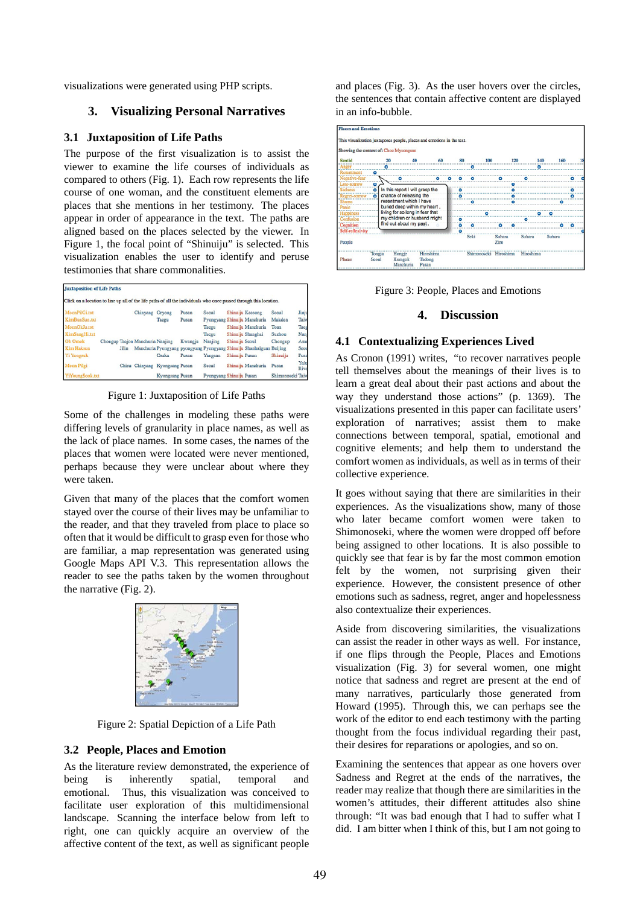visualizations were generated using PHP scripts.

## **3. Visualizing Personal Narratives**

#### **3.1 Juxtaposition of Life Paths**

The purpose of the first visualization is to assist the viewer to examine the life courses of individuals as compared to others (Fig. 1). Each row represents the life course of one woman, and the constituent elements are places that she mentions in her testimony. The places appear in order of appearance in the text. The paths are aligned based on the places selected by the viewer. In Figure 1, the focal point of "Shinuiju" is selected. This visualization enables the user to identify and peruse testimonies that share commonalities.

| <b>Juxtaposition of Life Paths</b>                                                                                 |       |                                  |                        |         |                              |                |                                                                      |                  |              |
|--------------------------------------------------------------------------------------------------------------------|-------|----------------------------------|------------------------|---------|------------------------------|----------------|----------------------------------------------------------------------|------------------|--------------|
| Click on a location to line up all of the life paths of all the individuals who once passed through this location. |       |                                  |                        |         |                              |                |                                                                      |                  |              |
| MoonPilGi.txt                                                                                                      |       | Chinyang                         | Orvong                 | Pusan   | Seoul                        |                | Shinuiju Kaesong                                                     | Seoul            | Jinju        |
| KimBunSun.txt                                                                                                      |       |                                  | Tacgu                  | Pusan   | Pyongyang Shinuiju Manchuria |                |                                                                      | Mukden           | Taiw         |
| MoonOkJu.txt                                                                                                       |       |                                  |                        |         | Tacgu                        |                | Shinuiju Manchuria                                                   | Toan             | Tace         |
| KimSangHi.txt                                                                                                      |       |                                  |                        |         | Taegu                        |                | Shinuiju Shanghai                                                    | Suzhou           | Nam          |
| <b>Oh Omok</b>                                                                                                     |       | Chongup Tagion Manchuria Naniing |                        | Kwangju | Nanjing                      | Shinuiju Seoul |                                                                      | Chongup          | Asar         |
| <b>Kim Haksun</b>                                                                                                  | Jilin |                                  |                        |         |                              |                | Manchuria Pyongyang pyongyang Pyongyang Shinuiju Shanhaiguan Beijing |                  | Seou         |
| <b>Yi Yongsuk</b>                                                                                                  |       |                                  | Osaka                  | Pusan   | Yangsan                      | Shinuiju Pusan |                                                                      | Shinuiju         | Pusa         |
| Moon Pilgi                                                                                                         |       | Chisu Chinyang                   | <b>Kyongsang Pusan</b> |         | Scoul                        |                | Shinuiju Manchuria                                                   | Pusan            | Yalu<br>Rive |
| YiYoungSook.txt                                                                                                    |       |                                  | Kyongsang Pusan        |         | Pyongyang Shinuiju Pusan     |                |                                                                      | Shimonoseki Taiw |              |

Figure 1: Juxtaposition of Life Paths

Some of the challenges in modeling these paths were differing levels of granularity in place names, as well as the lack of place names. In some cases, the names of the places that women were located were never mentioned, perhaps because they were unclear about where they were taken.

Given that many of the places that the comfort women stayed over the course of their lives may be unfamiliar to the reader, and that they traveled from place to place so often that it would be difficult to grasp even for those who are familiar, a map representation was generated using Google Maps API V.3. This representation allows the reader to see the paths taken by the women throughout the narrative (Fig. 2).



Figure 2: Spatial Depiction of a Life Path

#### **3.2 People, Places and Emotion**

As the literature review demonstrated, the experience of being is inherently spatial, temporal and emotional. Thus, this visualization was conceived to facilitate user exploration of this multidimensional landscape. Scanning the interface below from left to right, one can quickly acquire an overview of the affective content of the text, as well as significant people

and places (Fig. 3). As the user hovers over the circles, the sentences that contain affective content are displayed in an info-bubble.



Figure 3: People, Places and Emotions

#### **4. Discussion**

#### **4.1 Contextualizing Experiences Lived**

As Cronon (1991) writes, "to recover narratives people tell themselves about the meanings of their lives is to learn a great deal about their past actions and about the way they understand those actions" (p. 1369). The visualizations presented in this paper can facilitate users' exploration of narratives; assist them to make connections between temporal, spatial, emotional and cognitive elements; and help them to understand the comfort women as individuals, as well as in terms of their collective experience.

It goes without saying that there are similarities in their experiences. As the visualizations show, many of those who later became comfort women were taken to Shimonoseki, where the women were dropped off before being assigned to other locations. It is also possible to quickly see that fear is by far the most common emotion felt by the women, not surprising given their experience. However, the consistent presence of other emotions such as sadness, regret, anger and hopelessness also contextualize their experiences.

Aside from discovering similarities, the visualizations can assist the reader in other ways as well. For instance, if one flips through the People, Places and Emotions visualization (Fig. 3) for several women, one might notice that sadness and regret are present at the end of many narratives, particularly those generated from Howard (1995). Through this, we can perhaps see the work of the editor to end each testimony with the parting thought from the focus individual regarding their past, their desires for reparations or apologies, and so on.

Examining the sentences that appear as one hovers over Sadness and Regret at the ends of the narratives, the reader may realize that though there are similarities in the women's attitudes, their different attitudes also shine through: "It was bad enough that I had to suffer what I did. I am bitter when I think of this, but I am not going to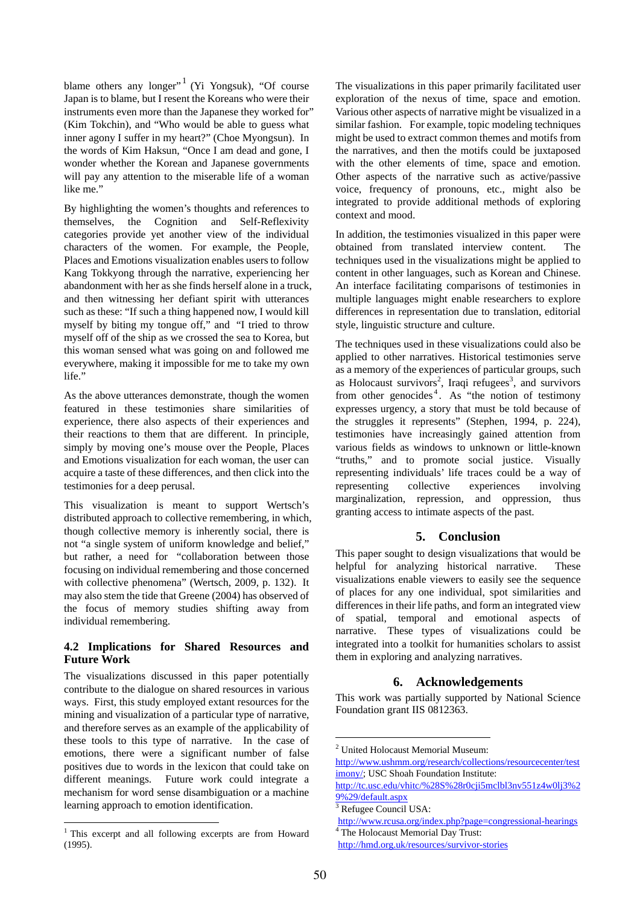blame others any longer"<sup>1</sup> (Yi Yongsuk), "Of course Japan is to blame, but I resent the Koreans who were their instruments even more than the Japanese they worked for" (Kim Tokchin), and "Who would be able to guess what inner agony I suffer in my heart?" (Choe Myongsun). In the words of Kim Haksun, "Once I am dead and gone, I wonder whether the Korean and Japanese governments will pay any attention to the miserable life of a woman like me."

By highlighting the women's thoughts and references to themselves, the Cognition and Self-Reflexivity categories provide yet another view of the individual characters of the women. For example, the People, Places and Emotions visualization enables users to follow Kang Tokkyong through the narrative, experiencing her abandonment with her as she finds herself alone in a truck, and then witnessing her defiant spirit with utterances such as these: "If such a thing happened now, I would kill myself by biting my tongue off," and "I tried to throw myself off of the ship as we crossed the sea to Korea, but this woman sensed what was going on and followed me everywhere, making it impossible for me to take my own life."

As the above utterances demonstrate, though the women featured in these testimonies share similarities of experience, there also aspects of their experiences and their reactions to them that are different. In principle, simply by moving one's mouse over the People, Places and Emotions visualization for each woman, the user can acquire a taste of these differences, and then click into the testimonies for a deep perusal.

This visualization is meant to support Wertsch's distributed approach to collective remembering, in which, though collective memory is inherently social, there is not "a single system of uniform knowledge and belief," but rather, a need for "collaboration between those focusing on individual remembering and those concerned with collective phenomena" (Wertsch, 2009, p. 132). It may also stem the tide that Greene (2004) has observed of the focus of memory studies shifting away from individual remembering.

## **4.2 Implications for Shared Resources and Future Work**

The visualizations discussed in this paper potentially contribute to the dialogue on shared resources in various ways. First, this study employed extant resources for the mining and visualization of a particular type of narrative, and therefore serves as an example of the applicability of these tools to this type of narrative. In the case of emotions, there were a significant number of false positives due to words in the lexicon that could take on different meanings. Future work could integrate a mechanism for word sense disambiguation or a machine learning approach to emotion identification.

 $\overline{a}$ 

The visualizations in this paper primarily facilitated user exploration of the nexus of time, space and emotion. Various other aspects of narrative might be visualized in a similar fashion. For example, topic modeling techniques might be used to extract common themes and motifs from the narratives, and then the motifs could be juxtaposed with the other elements of time, space and emotion. Other aspects of the narrative such as active/passive voice, frequency of pronouns, etc., might also be integrated to provide additional methods of exploring context and mood.

In addition, the testimonies visualized in this paper were obtained from translated interview content. The techniques used in the visualizations might be applied to content in other languages, such as Korean and Chinese. An interface facilitating comparisons of testimonies in multiple languages might enable researchers to explore differences in representation due to translation, editorial style, linguistic structure and culture.

The techniques used in these visualizations could also be applied to other narratives. Historical testimonies serve as a memory of the experiences of particular groups, such as Holocaust survivors<sup>2</sup>, Iraqi refugees<sup>3</sup>, and survivors from other genocides<sup>4</sup>. As "the notion of testimony" expresses urgency, a story that must be told because of the struggles it represents" (Stephen, 1994, p. 224), testimonies have increasingly gained attention from various fields as windows to unknown or little-known "truths," and to promote social justice. Visually representing individuals' life traces could be a way of representing collective experiences involving marginalization, repression, and oppression, thus granting access to intimate aspects of the past.

## **5. Conclusion**

This paper sought to design visualizations that would be helpful for analyzing historical narrative. These visualizations enable viewers to easily see the sequence of places for any one individual, spot similarities and differences in their life paths, and form an integrated view of spatial, temporal and emotional aspects of narrative. These types of visualizations could be integrated into a toolkit for humanities scholars to assist them in exploring and analyzing narratives.

## **6. Acknowledgements**

This work was partially supported by National Science Foundation grant IIS 0812363.

1

<sup>&</sup>lt;sup>1</sup> This excerpt and all following excerpts are from Howard (1995).

<sup>2</sup> United Holocaust Memorial Museum:

http://www.ushmm.org/research/collections/resourcecenter/test imony/; USC Shoah Foundation Institute:

http://tc.usc.edu/vhitc/%28S%28r0cji5mclbl3nv551z4w0lj3%2 9%29/default.aspx 3

<sup>&</sup>lt;sup>3</sup> Refugee Council USA:

http://www.rcusa.org/index.php?page=congressional-hearings <sup>4</sup> The Holocaust Memorial Day Trust:

http://hmd.org.uk/resources/survivor-stories